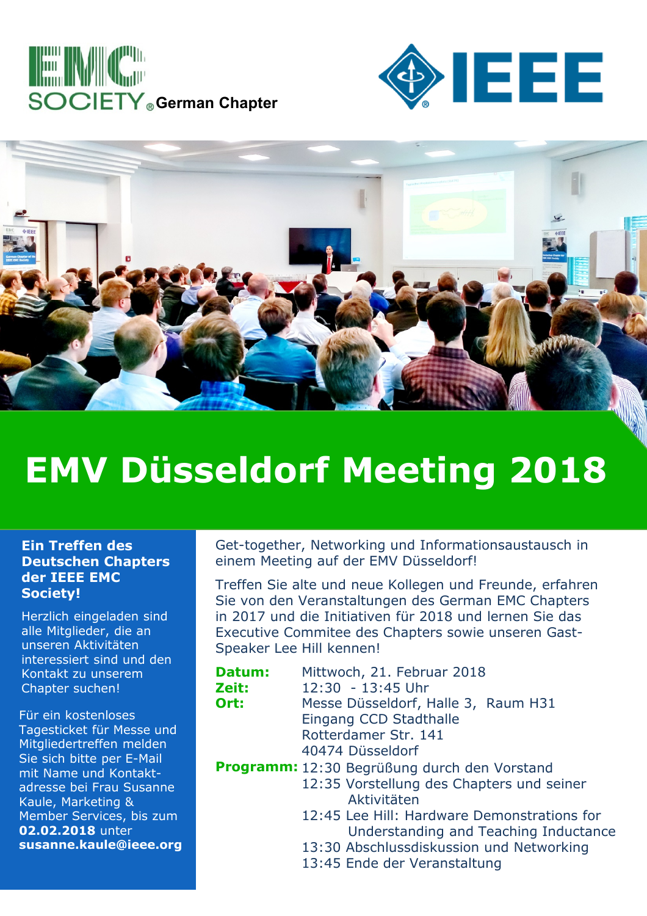





## **EMV Düsseldorf Meeting 2018**

## **Ein Treffen des Deutschen Chapters der IEEE EMC Society!**

Herzlich eingeladen sind alle Mitglieder, die an unseren Aktivitäten interessiert sind und den Kontakt zu unserem Chapter suchen!

Für ein kostenloses Tagesticket für Messe und Mitgliedertreffen melden Sie sich bitte per E-Mail mit Name und Kontaktadresse bei Frau Susanne Kaule, Marketing & Member Services, bis zum **02.02.2018** unter **susanne.kaule@ieee.org** Get-together, Networking und Informationsaustausch in einem Meeting auf der EMV Düsseldorf!

Treffen Sie alte und neue Kollegen und Freunde, erfahren Sie von den Veranstaltungen des German EMC Chapters in 2017 und die Initiativen für 2018 und lernen Sie das Executive Commitee des Chapters sowie unseren Gast-Speaker Lee Hill kennen!

| Datum: | Mittwoch, 21. Februar 2018                   |
|--------|----------------------------------------------|
| Zeit:  | 12:30 - 13:45 Uhr                            |
| Ort:   | Messe Düsseldorf, Halle 3, Raum H31          |
|        | Eingang CCD Stadthalle                       |
|        | Rotterdamer Str. 141                         |
|        | 40474 Düsseldorf                             |
|        | Programm: 12:30 Begrüßung durch den Vorstand |
|        | 12:35 Vorstellung des Chapters und seiner    |
|        | Aktivitäten                                  |

- 12:45 Lee Hill: Hardware Demonstrations for Understanding and Teaching Inductance
- 13:30 Abschlussdiskussion und Networking
- 13:45 Ende der Veranstaltung